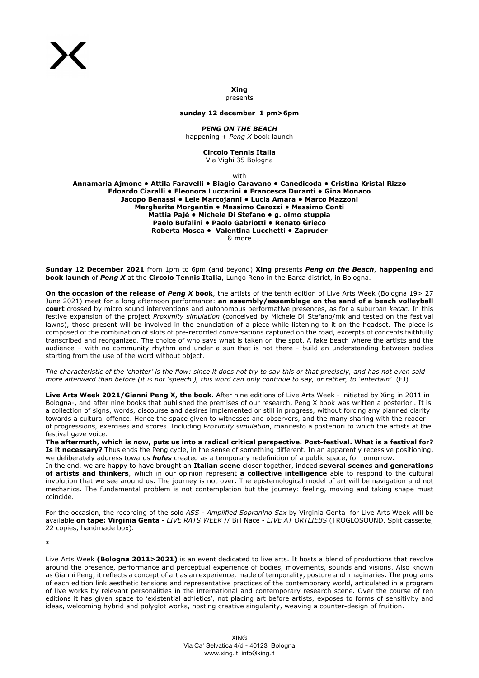**Xing**  presents

**sunday 12 december 1 pm>6pm**

*PENG ON THE BEACH*

happening + *Peng X* book launch

**Circolo Tennis Italia** Via Vighi 35 Bologna

with

**Annamaria Ajmone • Attila Faravelli • Biagio Caravano • Canedicoda • Cristina Kristal Rizzo Edoardo Ciaralli • Eleonora Luccarini • Francesca Duranti • Gina Monaco Jacopo Benassi • Lele Marcojanni • Lucia Amara • Marco Mazzoni Margherita Morgantin • Massimo Carozzi • Massimo Conti Mattia Pajé • Michele Di Stefano • g. olmo stuppia Paolo Bufalini • Paolo Gabriotti • Renato Grieco Roberta Mosca • Valentina Lucchetti • Zapruder** & more

**Sunday 12 December 2021** from 1pm to 6pm (and beyond) **Xing** presents *Peng on the Beach*, **happening and book launch** of *Peng X* at the **Circolo Tennis Italia**, Lungo Reno in the Barca district, in Bologna.

**On the occasion of the release of** *Peng X* **book**, the artists of the tenth edition of Live Arts Week (Bologna 19> 27 June 2021) meet for a long afternoon performance: **an assembly/assemblage on the sand of a beach volleyball court** crossed by micro sound interventions and autonomous performative presences, as for a suburban *kecac*. In this festive expansion of the project *Proximity simulation* (conceived by Michele Di Stefano/mk and tested on the festival lawns), those present will be involved in the enunciation of a piece while listening to it on the headset. The piece is composed of the combination of slots of pre-recorded conversations captured on the road, excerpts of concepts faithfully transcribed and reorganized. The choice of who says what is taken on the spot. A fake beach where the artists and the audience – with no community rhythm and under a sun that is not there - build an understanding between bodies starting from the use of the word without object.

*The characteristic of the 'chatter' is the flow: since it does not try to say this or that precisely, and has not even said more afterward than before (it is not 'speech'), this word can only continue to say, or rather, to 'entertain'.* (FJ)

**Live Arts Week 2021/Gianni Peng X, the book**. After nine editions of Live Arts Week - initiated by Xing in 2011 in Bologna-, and after nine books that published the premises of our research, Peng X book was written a posteriori. It is a collection of signs, words, discourse and desires implemented or still in progress, without forcing any planned clarity towards a cultural offence. Hence the space given to witnesses and observers, and the many sharing with the reader of progressions, exercises and scores. Including *Proximity simulation*, manifesto a posteriori to which the artists at the festival gave voice.

**The aftermath, which is now, puts us into a radical critical perspective. Post-festival. What is a festival for? Is it necessary?** Thus ends the Peng cycle, in the sense of something different. In an apparently recessive positioning, we deliberately address towards *holes* created as a temporary redefinition of a public space, for tomorrow.

In the end, we are happy to have brought an **Italian scene** closer together, indeed **several scenes and generations of artists and thinkers**, which in our opinion represent **a collective intelligence** able to respond to the cultural involution that we see around us. The journey is not over. The epistemological model of art will be navigation and not mechanics. The fundamental problem is not contemplation but the journey: feeling, moving and taking shape must coincide.

For the occasion, the recording of the solo *ASS - Amplified Sopranino Sax* by Virginia Genta for Live Arts Week will be available **on tape: Virginia Genta** - *LIVE RATS WEEK* // Bill Nace - *LIVE AT ORTLIEBS* (TROGLOSOUND. Split cassette, 22 copies, handmade box).

\*

Live Arts Week **(Bologna 2011>2021)** is an event dedicated to live arts. It hosts a blend of productions that revolve around the presence, performance and perceptual experience of bodies, movements, sounds and visions. Also known as Gianni Peng, it reflects a concept of art as an experience, made of temporality, posture and imaginaries. The programs of each edition link aesthetic tensions and representative practices of the contemporary world, articulated in a program of live works by relevant personalities in the international and contemporary research scene. Over the course of ten editions it has given space to 'existential athletics', not placing art before artists, exposes to forms of sensitivity and ideas, welcoming hybrid and polyglot works, hosting creative singularity, weaving a counter-design of fruition.